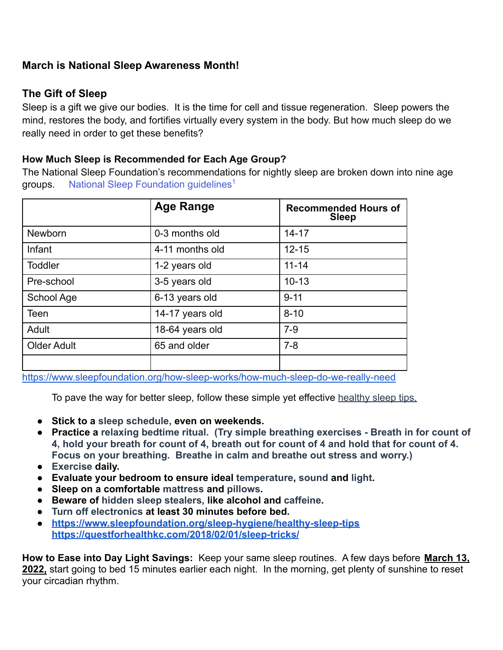## **March is National Sleep Awareness Month!**

## **The Gift of Sleep**

Sleep is a gift we give our bodies. It is the time for cell and tissue regeneration. Sleep powers the mind, restores the body, and fortifies virtually every system in the body. But how much sleep do we really need in order to get these benefits?

## **How Much Sleep is Recommended for Each Age Group?**

The National Sleep Foundation's recommendations for nightly sleep are broken down into nine age groups. [National Sleep Foundation guidelines](https://pubmed.ncbi.nlm.nih.gov/29073412/)<sup>1</sup>

|                    | <b>Age Range</b> | <b>Recommended Hours of</b><br><b>Sleep</b> |
|--------------------|------------------|---------------------------------------------|
| <b>Newborn</b>     | 0-3 months old   | $14 - 17$                                   |
| Infant             | 4-11 months old  | $12 - 15$                                   |
| <b>Toddler</b>     | 1-2 years old    | $11 - 14$                                   |
| Pre-school         | 3-5 years old    | $10 - 13$                                   |
| School Age         | 6-13 years old   | $9 - 11$                                    |
| Teen               | 14-17 years old  | $8 - 10$                                    |
| Adult              | 18-64 years old  | $7-9$                                       |
| <b>Older Adult</b> | 65 and older     | $7 - 8$                                     |
|                    |                  |                                             |

<https://www.sleepfoundation.org/how-sleep-works/how-much-sleep-do-we-really-need>

To pave the way for better sleep, follow these simple yet effective [healthy sleep tips,](http://sleepfoundation.org/sleep-tools-tips/healthy-sleep-tips)

- **Stick to a [sleep schedule,](https://sleep.org/articles/get-sleep-schedule/) even on weekends.**
- **Practice a [relaxing bedtime ritual.](https://sleep.org/articles/learning-relax/) (Try simple breathing exercises Breath in for count of 4, hold your breath for count of 4, breath out for count of 4 and hold that for count of 4. Focus on your breathing. Breathe in calm and breathe out stress and worry.)**
- **[Exercise](https://sleep.org/articles/exercise-affects-sleep/) daily.**
- **Evaluate your bedroom to ensure ideal [temperature](https://sleep.org/articles/temperature-for-sleep/), [sound](https://sleep.org/articles/sounds-bedroom/) and [light](https://sleep.org/articles/how-lights-affect-sleep/).**
- **Sleep on a comfortable [mattress](https://sleep.org/articles/choosing-a-mattress/) and [pillows](https://sleep.org/articles/common-types-of-pillows/).**
- **Beware of [hidden sleep stealers,](https://sleep.org/articles/reasons-not-staying-asleep/) like alcohol and [caffeine](https://sleep.org/articles/how-much-caffiene-should-i-have/).**
- **[Turn off electronics](https://sleep.org/articles/ways-technology-affects-sleep/) at least 30 minutes before bed.**
- **<https://www.sleepfoundation.org/sleep-hygiene/healthy-sleep-tips> <https://questforhealthkc.com/2018/02/01/sleep-tricks/>**

**How to Ease into Day Light Savings:** Keep your same sleep routines. A few days before **March 13, 2022,** start going to bed 15 minutes earlier each night. In the morning, get plenty of sunshine to reset your circadian rhythm.